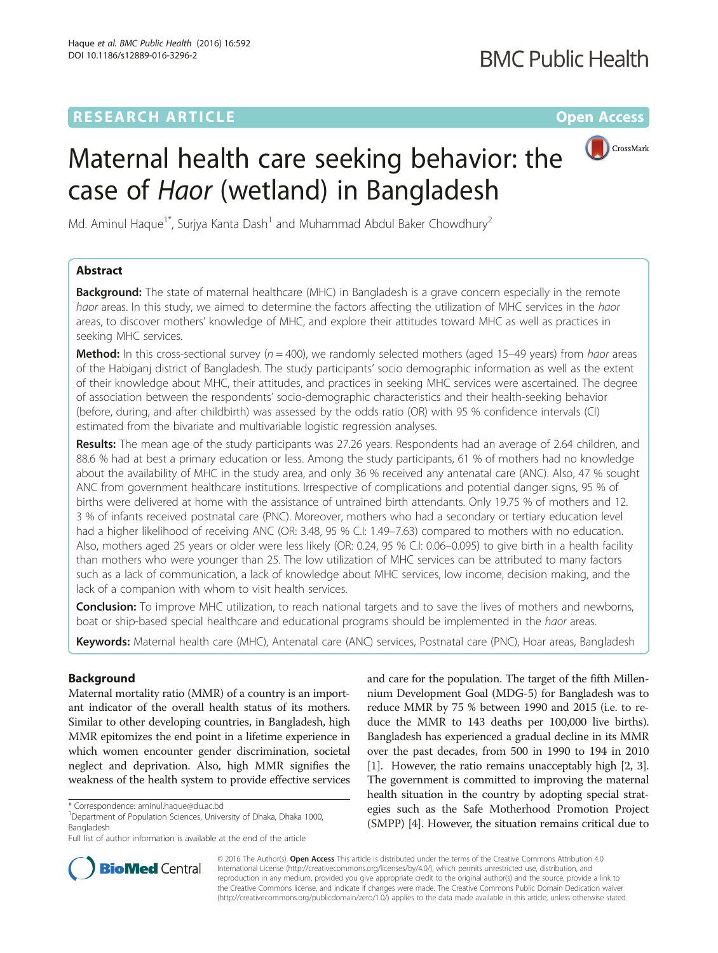## **RESEARCH ARTICLE External Structure Community Community Community Community Community Community Community Community**



# Maternal health care seeking behavior: the case of Haor (wetland) in Bangladesh

Md. Aminul Haque<sup>1\*</sup>, Suriya Kanta Dash<sup>1</sup> and Muhammad Abdul Baker Chowdhury<sup>2</sup>

## Abstract

**Background:** The state of maternal healthcare (MHC) in Bangladesh is a grave concern especially in the remote haor areas. In this study, we aimed to determine the factors affecting the utilization of MHC services in the haor areas, to discover mothers' knowledge of MHC, and explore their attitudes toward MHC as well as practices in seeking MHC services.

Method: In this cross-sectional survey ( $n = 400$ ), we randomly selected mothers (aged 15–49 years) from haor areas of the Habiganj district of Bangladesh. The study participants' socio demographic information as well as the extent of their knowledge about MHC, their attitudes, and practices in seeking MHC services were ascertained. The degree of association between the respondents' socio-demographic characteristics and their health-seeking behavior (before, during, and after childbirth) was assessed by the odds ratio (OR) with 95 % confidence intervals (CI) estimated from the bivariate and multivariable logistic regression analyses.

Results: The mean age of the study participants was 27.26 years. Respondents had an average of 2.64 children, and 88.6 % had at best a primary education or less. Among the study participants, 61 % of mothers had no knowledge about the availability of MHC in the study area, and only 36 % received any antenatal care (ANC). Also, 47 % sought ANC from government healthcare institutions. Irrespective of complications and potential danger signs, 95 % of births were delivered at home with the assistance of untrained birth attendants. Only 19.75 % of mothers and 12. 3 % of infants received postnatal care (PNC). Moreover, mothers who had a secondary or tertiary education level had a higher likelihood of receiving ANC (OR: 3.48, 95 % C.I: 1.49–7.63) compared to mothers with no education. Also, mothers aged 25 years or older were less likely (OR: 0.24, 95 % C.I: 0.06–0.095) to give birth in a health facility than mothers who were younger than 25. The low utilization of MHC services can be attributed to many factors such as a lack of communication, a lack of knowledge about MHC services, low income, decision making, and the lack of a companion with whom to visit health services.

**Conclusion:** To improve MHC utilization, to reach national targets and to save the lives of mothers and newborns, boat or ship-based special healthcare and educational programs should be implemented in the haor areas.

Keywords: Maternal health care (MHC), Antenatal care (ANC) services, Postnatal care (PNC), Hoar areas, Bangladesh

## Background

Maternal mortality ratio (MMR) of a country is an important indicator of the overall health status of its mothers. Similar to other developing countries, in Bangladesh, high MMR epitomizes the end point in a lifetime experience in which women encounter gender discrimination, societal neglect and deprivation. Also, high MMR signifies the weakness of the health system to provide effective services

<sup>1</sup>Department of Population Sciences, University of Dhaka, Dhaka 1000, Bangladesh

and care for the population. The target of the fifth Millennium Development Goal (MDG-5) for Bangladesh was to reduce MMR by 75 % between 1990 and 2015 (i.e. to reduce the MMR to 143 deaths per 100,000 live births). Bangladesh has experienced a gradual decline in its MMR over the past decades, from 500 in 1990 to 194 in 2010 [[1\]](#page-8-0). However, the ratio remains unacceptably high [\[2](#page-8-0), [3](#page-8-0)]. The government is committed to improving the maternal health situation in the country by adopting special strategies such as the Safe Motherhood Promotion Project (SMPP) [[4\]](#page-8-0). However, the situation remains critical due to



© 2016 The Author(s). Open Access This article is distributed under the terms of the Creative Commons Attribution 4.0 International License [\(http://creativecommons.org/licenses/by/4.0/](http://creativecommons.org/licenses/by/4.0/)), which permits unrestricted use, distribution, and reproduction in any medium, provided you give appropriate credit to the original author(s) and the source, provide a link to the Creative Commons license, and indicate if changes were made. The Creative Commons Public Domain Dedication waiver [\(http://creativecommons.org/publicdomain/zero/1.0/](http://creativecommons.org/publicdomain/zero/1.0/)) applies to the data made available in this article, unless otherwise stated.

<sup>\*</sup> Correspondence: [aminul.haque@du.ac.bd](mailto:aminul.haque@du.ac.bd) <sup>1</sup>

Full list of author information is available at the end of the article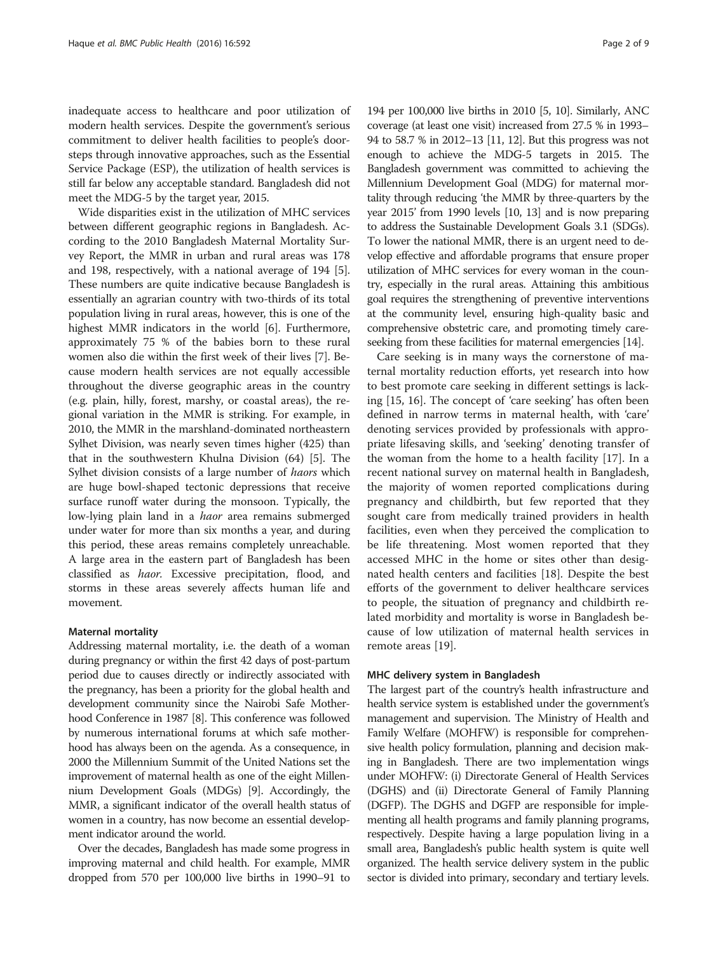inadequate access to healthcare and poor utilization of modern health services. Despite the government's serious commitment to deliver health facilities to people's doorsteps through innovative approaches, such as the Essential Service Package (ESP), the utilization of health services is still far below any acceptable standard. Bangladesh did not meet the MDG-5 by the target year, 2015.

Wide disparities exist in the utilization of MHC services between different geographic regions in Bangladesh. According to the 2010 Bangladesh Maternal Mortality Survey Report, the MMR in urban and rural areas was 178 and 198, respectively, with a national average of 194 [[5](#page-8-0)]. These numbers are quite indicative because Bangladesh is essentially an agrarian country with two-thirds of its total population living in rural areas, however, this is one of the highest MMR indicators in the world [[6\]](#page-8-0). Furthermore, approximately 75 % of the babies born to these rural women also die within the first week of their lives [\[7\]](#page-8-0). Because modern health services are not equally accessible throughout the diverse geographic areas in the country (e.g. plain, hilly, forest, marshy, or coastal areas), the regional variation in the MMR is striking. For example, in 2010, the MMR in the marshland-dominated northeastern Sylhet Division, was nearly seven times higher (425) than that in the southwestern Khulna Division (64) [[5\]](#page-8-0). The Sylhet division consists of a large number of haors which are huge bowl-shaped tectonic depressions that receive surface runoff water during the monsoon. Typically, the low-lying plain land in a *haor* area remains submerged under water for more than six months a year, and during this period, these areas remains completely unreachable. A large area in the eastern part of Bangladesh has been classified as haor. Excessive precipitation, flood, and storms in these areas severely affects human life and movement.

#### Maternal mortality

Addressing maternal mortality, i.e. the death of a woman during pregnancy or within the first 42 days of post-partum period due to causes directly or indirectly associated with the pregnancy, has been a priority for the global health and development community since the Nairobi Safe Motherhood Conference in 1987 [\[8\]](#page-8-0). This conference was followed by numerous international forums at which safe motherhood has always been on the agenda. As a consequence, in 2000 the Millennium Summit of the United Nations set the improvement of maternal health as one of the eight Millennium Development Goals (MDGs) [[9](#page-8-0)]. Accordingly, the MMR, a significant indicator of the overall health status of women in a country, has now become an essential development indicator around the world.

Over the decades, Bangladesh has made some progress in improving maternal and child health. For example, MMR dropped from 570 per 100,000 live births in 1990–91 to

194 per 100,000 live births in 2010 [[5](#page-8-0), [10\]](#page-8-0). Similarly, ANC coverage (at least one visit) increased from 27.5 % in 1993– 94 to 58.7 % in 2012–13 [\[11](#page-8-0), [12\]](#page-8-0). But this progress was not enough to achieve the MDG-5 targets in 2015. The Bangladesh government was committed to achieving the Millennium Development Goal (MDG) for maternal mortality through reducing 'the MMR by three-quarters by the year 2015' from 1990 levels [[10, 13\]](#page-8-0) and is now preparing to address the Sustainable Development Goals 3.1 (SDGs). To lower the national MMR, there is an urgent need to develop effective and affordable programs that ensure proper utilization of MHC services for every woman in the country, especially in the rural areas. Attaining this ambitious goal requires the strengthening of preventive interventions at the community level, ensuring high-quality basic and comprehensive obstetric care, and promoting timely care-seeking from these facilities for maternal emergencies [[14](#page-8-0)].

Care seeking is in many ways the cornerstone of maternal mortality reduction efforts, yet research into how to best promote care seeking in different settings is lacking [\[15](#page-8-0), [16](#page-8-0)]. The concept of 'care seeking' has often been defined in narrow terms in maternal health, with 'care' denoting services provided by professionals with appropriate lifesaving skills, and 'seeking' denoting transfer of the woman from the home to a health facility [\[17](#page-8-0)]. In a recent national survey on maternal health in Bangladesh, the majority of women reported complications during pregnancy and childbirth, but few reported that they sought care from medically trained providers in health facilities, even when they perceived the complication to be life threatening. Most women reported that they accessed MHC in the home or sites other than designated health centers and facilities [\[18\]](#page-8-0). Despite the best efforts of the government to deliver healthcare services to people, the situation of pregnancy and childbirth related morbidity and mortality is worse in Bangladesh because of low utilization of maternal health services in remote areas [\[19](#page-8-0)].

#### MHC delivery system in Bangladesh

The largest part of the country's health infrastructure and health service system is established under the government's management and supervision. The Ministry of Health and Family Welfare (MOHFW) is responsible for comprehensive health policy formulation, planning and decision making in Bangladesh. There are two implementation wings under MOHFW: (i) Directorate General of Health Services (DGHS) and (ii) Directorate General of Family Planning (DGFP). The DGHS and DGFP are responsible for implementing all health programs and family planning programs, respectively. Despite having a large population living in a small area, Bangladesh's public health system is quite well organized. The health service delivery system in the public sector is divided into primary, secondary and tertiary levels.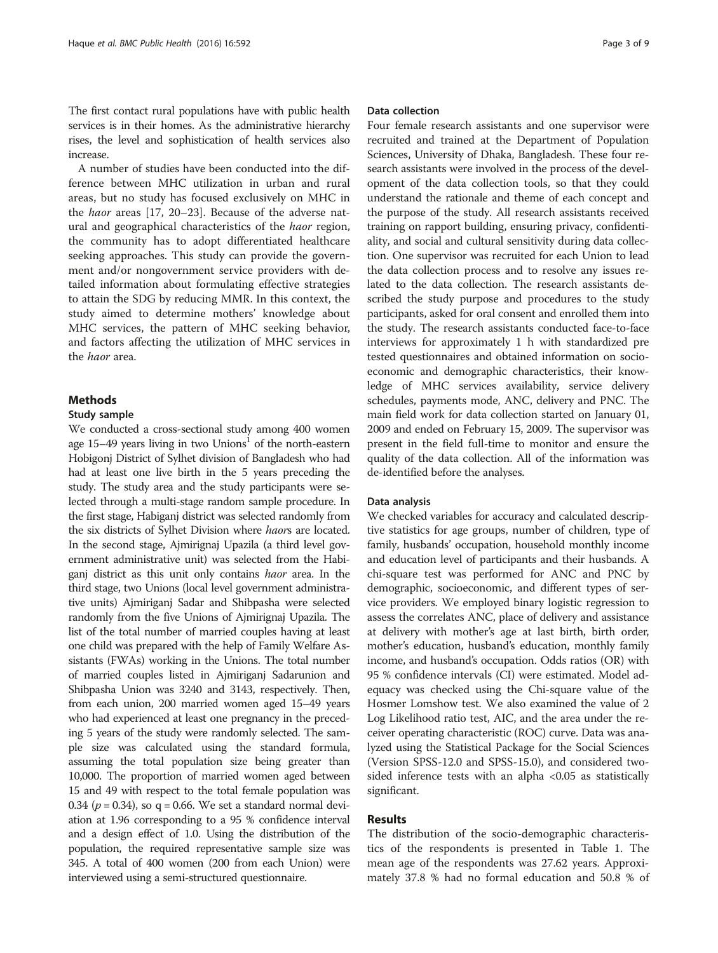The first contact rural populations have with public health services is in their homes. As the administrative hierarchy rises, the level and sophistication of health services also increase.

A number of studies have been conducted into the difference between MHC utilization in urban and rural areas, but no study has focused exclusively on MHC in the haor areas [[17, 20](#page-8-0)–[23](#page-8-0)]. Because of the adverse natural and geographical characteristics of the haor region, the community has to adopt differentiated healthcare seeking approaches. This study can provide the government and/or nongovernment service providers with detailed information about formulating effective strategies to attain the SDG by reducing MMR. In this context, the study aimed to determine mothers' knowledge about MHC services, the pattern of MHC seeking behavior, and factors affecting the utilization of MHC services in the haor area.

## Methods

## Study sample

We conducted a cross-sectional study among 400 women age  $15-49$  years living in two Unions<sup>1</sup> of the north-eastern Hobigonj District of Sylhet division of Bangladesh who had had at least one live birth in the 5 years preceding the study. The study area and the study participants were selected through a multi-stage random sample procedure. In the first stage, Habiganj district was selected randomly from the six districts of Sylhet Division where haors are located. In the second stage, Ajmirignaj Upazila (a third level government administrative unit) was selected from the Habiganj district as this unit only contains haor area. In the third stage, two Unions (local level government administrative units) Ajmiriganj Sadar and Shibpasha were selected randomly from the five Unions of Ajmirignaj Upazila. The list of the total number of married couples having at least one child was prepared with the help of Family Welfare Assistants (FWAs) working in the Unions. The total number of married couples listed in Ajmiriganj Sadarunion and Shibpasha Union was 3240 and 3143, respectively. Then, from each union, 200 married women aged 15–49 years who had experienced at least one pregnancy in the preceding 5 years of the study were randomly selected. The sample size was calculated using the standard formula, assuming the total population size being greater than 10,000. The proportion of married women aged between 15 and 49 with respect to the total female population was 0.34 ( $p = 0.34$ ), so q = 0.66. We set a standard normal deviation at 1.96 corresponding to a 95 % confidence interval and a design effect of 1.0. Using the distribution of the population, the required representative sample size was 345. A total of 400 women (200 from each Union) were interviewed using a semi-structured questionnaire.

## Data collection

Four female research assistants and one supervisor were recruited and trained at the Department of Population Sciences, University of Dhaka, Bangladesh. These four research assistants were involved in the process of the development of the data collection tools, so that they could understand the rationale and theme of each concept and the purpose of the study. All research assistants received training on rapport building, ensuring privacy, confidentiality, and social and cultural sensitivity during data collection. One supervisor was recruited for each Union to lead the data collection process and to resolve any issues related to the data collection. The research assistants described the study purpose and procedures to the study participants, asked for oral consent and enrolled them into the study. The research assistants conducted face-to-face interviews for approximately 1 h with standardized pre tested questionnaires and obtained information on socioeconomic and demographic characteristics, their knowledge of MHC services availability, service delivery schedules, payments mode, ANC, delivery and PNC. The main field work for data collection started on January 01, 2009 and ended on February 15, 2009. The supervisor was present in the field full-time to monitor and ensure the quality of the data collection. All of the information was de-identified before the analyses.

## Data analysis

We checked variables for accuracy and calculated descriptive statistics for age groups, number of children, type of family, husbands' occupation, household monthly income and education level of participants and their husbands. A chi-square test was performed for ANC and PNC by demographic, socioeconomic, and different types of service providers. We employed binary logistic regression to assess the correlates ANC, place of delivery and assistance at delivery with mother's age at last birth, birth order, mother's education, husband's education, monthly family income, and husband's occupation. Odds ratios (OR) with 95 % confidence intervals (CI) were estimated. Model adequacy was checked using the Chi-square value of the Hosmer Lomshow test. We also examined the value of 2 Log Likelihood ratio test, AIC, and the area under the receiver operating characteristic (ROC) curve. Data was analyzed using the Statistical Package for the Social Sciences (Version SPSS-12.0 and SPSS-15.0), and considered twosided inference tests with an alpha <0.05 as statistically significant.

## Results

The distribution of the socio-demographic characteristics of the respondents is presented in Table [1.](#page-3-0) The mean age of the respondents was 27.62 years. Approximately 37.8 % had no formal education and 50.8 % of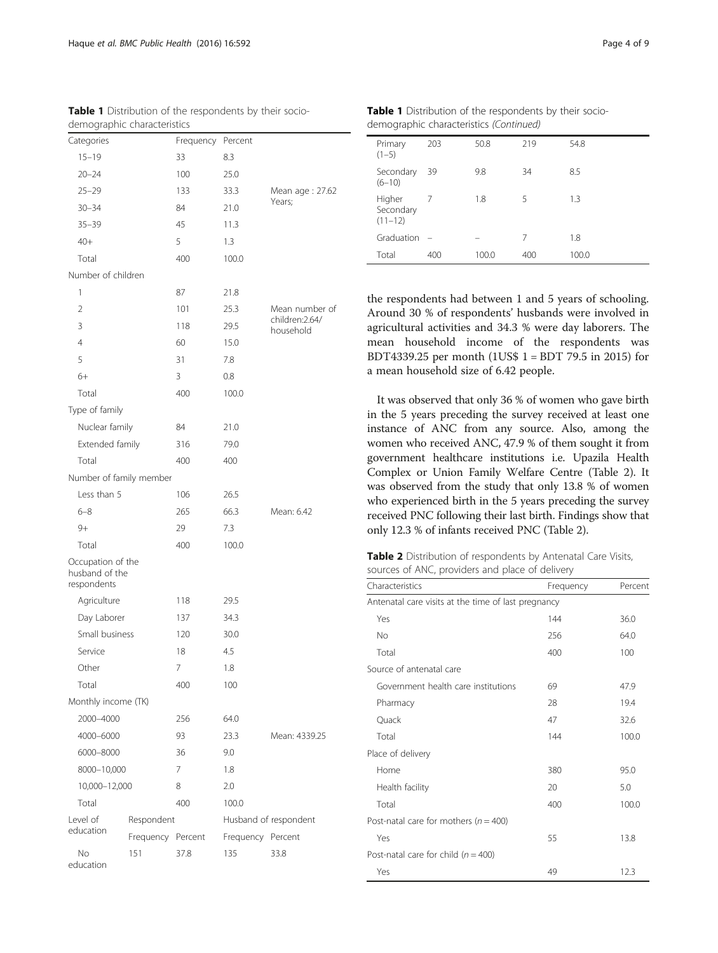| Categories                                         |                   | Frequency | Percent           |                             |
|----------------------------------------------------|-------------------|-----------|-------------------|-----------------------------|
| $15 - 19$                                          |                   | 33        | 8.3               |                             |
| $20 - 24$                                          |                   | 100       | 25.0              |                             |
| $25 - 29$                                          |                   |           | 33.3              | Mean age: 27.62             |
| $30 - 34$                                          |                   | 84        | 21.0              | Years;                      |
| $35 - 39$                                          |                   | 45        | 11.3              |                             |
| $40+$                                              |                   | 5         | 1.3               |                             |
| Total                                              |                   | 400       | 100.0             |                             |
| Number of children                                 |                   |           |                   |                             |
| 1                                                  |                   | 87        | 21.8              |                             |
| 2                                                  |                   | 101       | 25.3              | Mean number of              |
| 3                                                  |                   | 118       | 29.5              | children:2.64/<br>household |
| $\overline{4}$                                     |                   | 60        | 15.0              |                             |
| 5                                                  |                   | 31        | 7.8               |                             |
| $6+$                                               |                   | 3         | 0.8               |                             |
| Total                                              |                   | 400       | 100.0             |                             |
| Type of family                                     |                   |           |                   |                             |
| Nuclear family                                     |                   | 84        | 21.0              |                             |
| Extended family                                    |                   | 316       | 79.0              |                             |
| Total                                              |                   | 400       | 400               |                             |
| Number of family member                            |                   |           |                   |                             |
| Less than 5                                        |                   | 106       | 26.5              |                             |
| $6 - 8$                                            |                   | 265       | 66.3              | Mean: 6.42                  |
| $9+$                                               |                   | 29        | 7.3               |                             |
| Total                                              |                   | 400       | 100.0             |                             |
| Occupation of the<br>husband of the<br>respondents |                   |           |                   |                             |
| Agriculture                                        |                   | 118       | 29.5              |                             |
| Day Laborer                                        |                   | 137       | 34.3              |                             |
| Small business                                     |                   | 120       | 30.0              |                             |
| Service                                            |                   | 18        | 4.5               |                             |
| Other                                              |                   | 7         | 1.8               |                             |
| Total                                              |                   | 400       | 100               |                             |
| Monthly income (TK)                                |                   |           |                   |                             |
| 2000-4000                                          |                   | 256       | 64.0              |                             |
| 4000-6000                                          |                   | 93        | 23.3              | Mean: 4339.25               |
| 6000-8000                                          |                   | 36        | 9.0               |                             |
| 8000-10,000                                        |                   | 7         | 1.8               |                             |
| 10,000-12,000                                      |                   | 8         | 2.0               |                             |
| Total                                              |                   | 400       | 100.0             |                             |
| Level of                                           | Respondent        |           |                   | Husband of respondent       |
| education                                          | Frequency Percent |           | Frequency Percent |                             |
| No<br>education                                    | 151               | 37.8      | 135               | 33.8                        |

<span id="page-3-0"></span>

| Table 1 Distribution of the respondents by their socio- |  |
|---------------------------------------------------------|--|
| demographic characteristics                             |  |

Table 1 Distribution of the respondents by their sociodemographic characteristics (Continued)

| Primary<br>$(1-5)$                 | 203 | 50.8  | 219 | 54.8  |
|------------------------------------|-----|-------|-----|-------|
| Secondary<br>$(6 - 10)$            | 39  | 9.8   | 34  | 8.5   |
| Higher<br>Secondary<br>$(11 - 12)$ | 7   | 1.8   | 5   | 1.3   |
| Graduation                         |     |       | 7   | 1.8   |
| Total                              | 400 | 100.0 | 400 | 100.0 |

the respondents had between 1 and 5 years of schooling. Around 30 % of respondents' husbands were involved in agricultural activities and 34.3 % were day laborers. The mean household income of the respondents was BDT4339.25 per month (1US\$ 1 = BDT 79.5 in 2015) for a mean household size of 6.42 people.

It was observed that only 36 % of women who gave birth in the 5 years preceding the survey received at least one instance of ANC from any source. Also, among the women who received ANC, 47.9 % of them sought it from government healthcare institutions i.e. Upazila Health Complex or Union Family Welfare Centre (Table 2). It was observed from the study that only 13.8 % of women who experienced birth in the 5 years preceding the survey received PNC following their last birth. Findings show that only 12.3 % of infants received PNC (Table 2).

|  | <b>Table 2</b> Distribution of respondents by Antenatal Care Visits |  |  |
|--|---------------------------------------------------------------------|--|--|
|  | sources of ANC, providers and place of delivery                     |  |  |

| Characteristics                                     | Frequency | Percent |
|-----------------------------------------------------|-----------|---------|
| Antenatal care visits at the time of last pregnancy |           |         |
| Yes                                                 | 144       | 36.0    |
| No                                                  | 256       | 64.0    |
| Total                                               | 400       | 100     |
| Source of antenatal care                            |           |         |
| Government health care institutions                 | 69        | 47.9    |
| Pharmacy                                            | 28        | 19.4    |
| Quack                                               | 47        | 32.6    |
| Total                                               | 144       | 100.0   |
| Place of delivery                                   |           |         |
| Home                                                | 380       | 95.0    |
| Health facility                                     | 20        | 5.0     |
| Total                                               | 400       | 100.0   |
| Post-natal care for mothers ( $n = 400$ )           |           |         |
| Yes                                                 | 55        | 13.8    |
| Post-natal care for child ( $n = 400$ )             |           |         |
| Yes                                                 | 49        | 12.3    |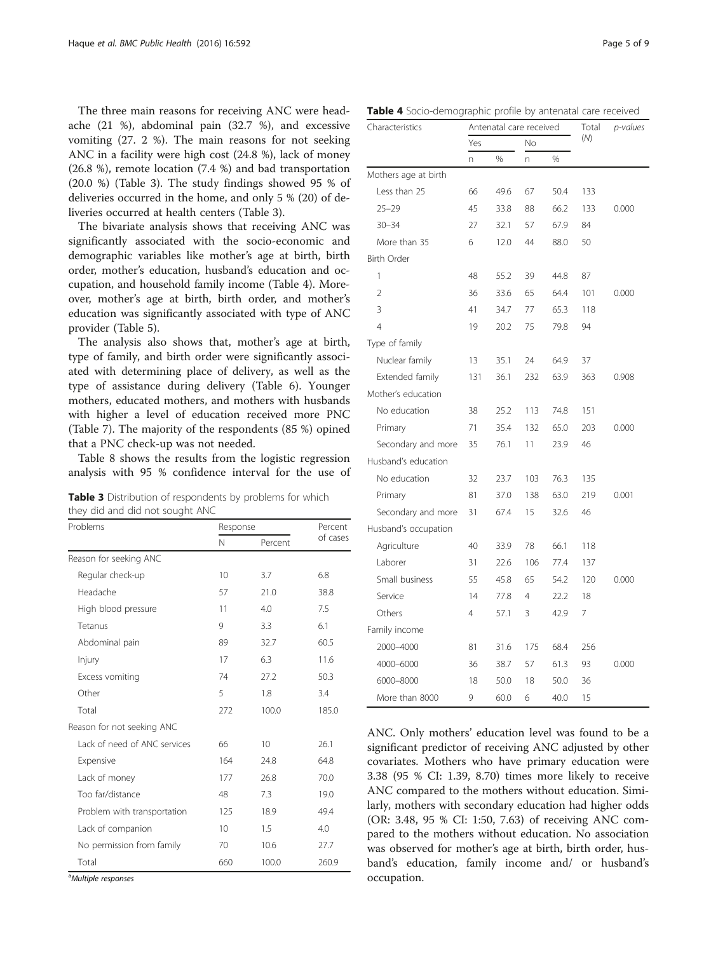The three main reasons for receiving ANC were headache (21 %), abdominal pain (32.7 %), and excessive vomiting (27. 2 %). The main reasons for not seeking ANC in a facility were high cost (24.8 %), lack of money (26.8 %), remote location (7.4 %) and bad transportation (20.0 %) (Table 3). The study findings showed 95 % of deliveries occurred in the home, and only 5 % (20) of deliveries occurred at health centers (Table 3).

The bivariate analysis shows that receiving ANC was significantly associated with the socio-economic and demographic variables like mother's age at birth, birth order, mother's education, husband's education and occupation, and household family income (Table 4). Moreover, mother's age at birth, birth order, and mother's education was significantly associated with type of ANC provider (Table [5](#page-5-0)).

The analysis also shows that, mother's age at birth, type of family, and birth order were significantly associated with determining place of delivery, as well as the type of assistance during delivery (Table [6\)](#page-6-0). Younger mothers, educated mothers, and mothers with husbands with higher a level of education received more PNC (Table [7\)](#page-6-0). The majority of the respondents (85 %) opined that a PNC check-up was not needed.

Table [8](#page-6-0) shows the results from the logistic regression analysis with 95 % confidence interval for the use of

Table 3 Distribution of respondents by problems for which they did and did not sought ANC

| Problems                     | Response |         | Percent  |
|------------------------------|----------|---------|----------|
|                              | N        | Percent | of cases |
| Reason for seeking ANC       |          |         |          |
| Regular check-up             | 10       | 3.7     | 6.8      |
| Headache                     | 57       | 21.0    | 38.8     |
| High blood pressure          | 11       | 4.0     | 7.5      |
| Tetanus                      | 9        | 3.3     | 6.1      |
| Abdominal pain               | 89       | 32.7    | 60.5     |
| Injury                       | 17       | 6.3     | 11.6     |
| Excess vomiting              | 74       | 27.2    | 50.3     |
| Other                        | 5        | 1.8     | 3.4      |
| Total                        | 272      | 100.0   | 185.0    |
| Reason for not seeking ANC   |          |         |          |
| Lack of need of ANC services | 66       | 10      | 26.1     |
| Expensive                    | 164      | 24.8    | 64.8     |
| Lack of money                | 177      | 26.8    | 70.0     |
| Too far/distance             | 48       | 7.3     | 19.0     |
| Problem with transportation  | 125      | 18.9    | 49.4     |
| Lack of companion            | 10       | 1.5     | 4.0      |
| No permission from family    | 70       | 10.6    | 27.7     |
| Total                        | 660      | 100.0   | 260.9    |

<sup>a</sup>Multiple responses

Table 4 Socio-demographic profile by antenatal care received

| Characteristics      | Antenatal care received |      |                |      | Total<br>(M) | p-values |
|----------------------|-------------------------|------|----------------|------|--------------|----------|
|                      | Yes                     |      | No             |      |              |          |
|                      | n                       | %    | n              | %    |              |          |
| Mothers age at birth |                         |      |                |      |              |          |
| Less than 25         | 66                      | 49.6 | 67             | 50.4 | 133          |          |
| $25 - 29$            | 45                      | 33.8 | 88             | 66.2 | 133          | 0.000    |
| $30 - 34$            | 27                      | 32.1 | 57             | 67.9 | 84           |          |
| More than 35         | 6                       | 12.0 | 44             | 88.0 | 50           |          |
| <b>Birth Order</b>   |                         |      |                |      |              |          |
| 1                    | 48                      | 55.2 | 39             | 44.8 | 87           |          |
| $\overline{2}$       | 36                      | 33.6 | 65             | 64.4 | 101          | 0.000    |
| 3                    | 41                      | 34.7 | 77             | 65.3 | 118          |          |
| $\overline{4}$       | 19                      | 20.2 | 75             | 79.8 | 94           |          |
| Type of family       |                         |      |                |      |              |          |
| Nuclear family       | 13                      | 35.1 | 24             | 64.9 | 37           |          |
| Extended family      | 131                     | 36.1 | 232            | 63.9 | 363          | 0.908    |
| Mother's education   |                         |      |                |      |              |          |
| No education         | 38                      | 25.2 | 113            | 74.8 | 151          |          |
| Primary              | 71                      | 35.4 | 132            | 65.0 | 203          | 0.000    |
| Secondary and more   | 35                      | 76.1 | 11             | 23.9 | 46           |          |
| Husband's education  |                         |      |                |      |              |          |
| No education         | 32                      | 23.7 | 103            | 76.3 | 135          |          |
| Primary              | 81                      | 37.0 | 138            | 63.0 | 219          | 0.001    |
| Secondary and more   | 31                      | 67.4 | 15             | 32.6 | 46           |          |
| Husband's occupation |                         |      |                |      |              |          |
| Agriculture          | 40                      | 33.9 | 78             | 66.1 | 118          |          |
| Laborer              | 31                      | 22.6 | 106            | 77.4 | 137          |          |
| Small business       | 55                      | 45.8 | 65             | 54.2 | 120          | 0.000    |
| Service              | 14                      | 77.8 | $\overline{4}$ | 22.2 | 18           |          |
| Others               | 4                       | 57.1 | 3              | 42.9 | 7            |          |
| Family income        |                         |      |                |      |              |          |
| 2000-4000            | 81                      | 31.6 | 175            | 68.4 | 256          |          |
| 4000-6000            | 36                      | 38.7 | 57             | 61.3 | 93           | 0.000    |
| 6000-8000            | 18                      | 50.0 | 18             | 50.0 | 36           |          |
| More than 8000       | 9                       | 60.0 | 6              | 40.0 | 15           |          |

ANC. Only mothers' education level was found to be a significant predictor of receiving ANC adjusted by other covariates. Mothers who have primary education were 3.38 (95 % CI: 1.39, 8.70) times more likely to receive ANC compared to the mothers without education. Similarly, mothers with secondary education had higher odds (OR: 3.48, 95 % CI: 1:50, 7.63) of receiving ANC compared to the mothers without education. No association was observed for mother's age at birth, birth order, husband's education, family income and/ or husband's occupation.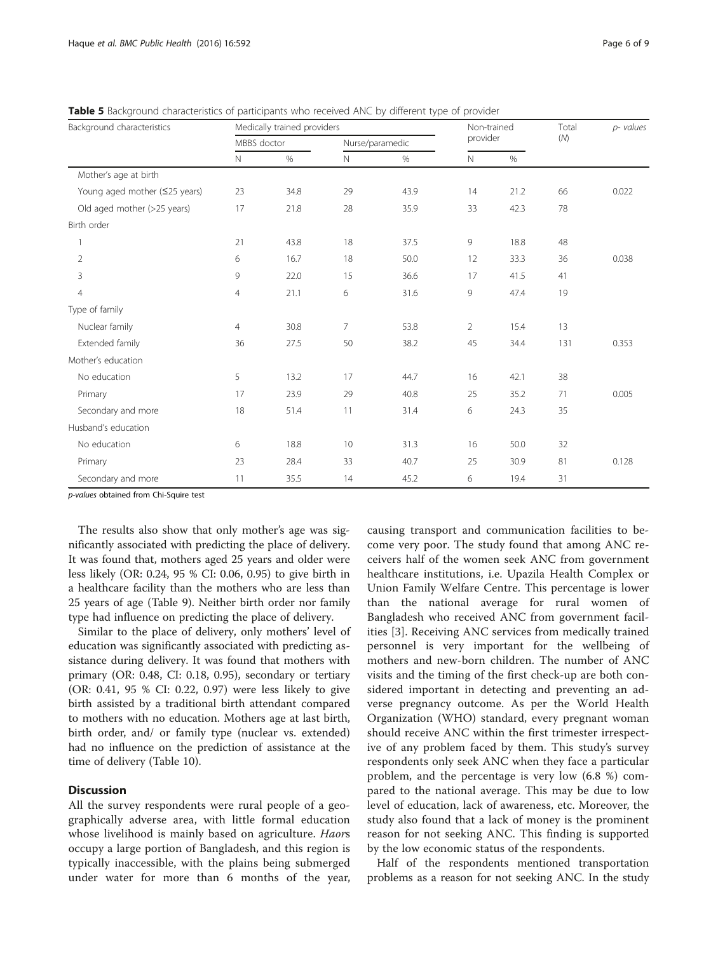<span id="page-5-0"></span>Table 5 Background characteristics of participants who received ANC by different type of provider

| Background characteristics    | Medically trained providers |      |                |                 | Non-trained    |      | Total | p-values |
|-------------------------------|-----------------------------|------|----------------|-----------------|----------------|------|-------|----------|
|                               | MBBS doctor                 |      |                | Nurse/paramedic | provider       |      | (N)   |          |
|                               | $\mathbb N$                 | $\%$ | $\mathbb N$    | $\%$            | $\mathsf{N}$   | $\%$ |       |          |
| Mother's age at birth         |                             |      |                |                 |                |      |       |          |
| Young aged mother (S25 years) | 23                          | 34.8 | 29             | 43.9            | 14             | 21.2 | 66    | 0.022    |
| Old aged mother (>25 years)   | 17                          | 21.8 | 28             | 35.9            | 33             | 42.3 | 78    |          |
| Birth order                   |                             |      |                |                 |                |      |       |          |
|                               | 21                          | 43.8 | 18             | 37.5            | 9              | 18.8 | 48    |          |
| $\overline{2}$                | 6                           | 16.7 | 18             | 50.0            | 12             | 33.3 | 36    | 0.038    |
| 3                             | 9                           | 22.0 | 15             | 36.6            | 17             | 41.5 | 41    |          |
| $\overline{4}$                | $\overline{4}$              | 21.1 | 6              | 31.6            | 9              | 47.4 | 19    |          |
| Type of family                |                             |      |                |                 |                |      |       |          |
| Nuclear family                | $\overline{4}$              | 30.8 | $\overline{7}$ | 53.8            | $\overline{2}$ | 15.4 | 13    |          |
| Extended family               | 36                          | 27.5 | 50             | 38.2            | 45             | 34.4 | 131   | 0.353    |
| Mother's education            |                             |      |                |                 |                |      |       |          |
| No education                  | 5                           | 13.2 | 17             | 44.7            | 16             | 42.1 | 38    |          |
| Primary                       | 17                          | 23.9 | 29             | 40.8            | 25             | 35.2 | 71    | 0.005    |
| Secondary and more            | 18                          | 51.4 | 11             | 31.4            | 6              | 24.3 | 35    |          |
| Husband's education           |                             |      |                |                 |                |      |       |          |
| No education                  | 6                           | 18.8 | 10             | 31.3            | 16             | 50.0 | 32    |          |
| Primary                       | 23                          | 28.4 | 33             | 40.7            | 25             | 30.9 | 81    | 0.128    |
| Secondary and more            | 11                          | 35.5 | 14             | 45.2            | 6              | 19.4 | 31    |          |

p-values obtained from Chi-Squire test

The results also show that only mother's age was significantly associated with predicting the place of delivery. It was found that, mothers aged 25 years and older were less likely (OR: 0.24, 95 % CI: 0.06, 0.95) to give birth in a healthcare facility than the mothers who are less than 25 years of age (Table [9](#page-7-0)). Neither birth order nor family type had influence on predicting the place of delivery.

Similar to the place of delivery, only mothers' level of education was significantly associated with predicting assistance during delivery. It was found that mothers with primary (OR: 0.48, CI: 0.18, 0.95), secondary or tertiary (OR: 0.41, 95 % CI: 0.22, 0.97) were less likely to give birth assisted by a traditional birth attendant compared to mothers with no education. Mothers age at last birth, birth order, and/ or family type (nuclear vs. extended) had no influence on the prediction of assistance at the time of delivery (Table [10\)](#page-7-0).

## **Discussion**

All the survey respondents were rural people of a geographically adverse area, with little formal education whose livelihood is mainly based on agriculture. *Haors* occupy a large portion of Bangladesh, and this region is typically inaccessible, with the plains being submerged under water for more than 6 months of the year, causing transport and communication facilities to become very poor. The study found that among ANC receivers half of the women seek ANC from government healthcare institutions, i.e. Upazila Health Complex or Union Family Welfare Centre. This percentage is lower than the national average for rural women of Bangladesh who received ANC from government facilities [[3\]](#page-8-0). Receiving ANC services from medically trained personnel is very important for the wellbeing of mothers and new-born children. The number of ANC visits and the timing of the first check-up are both considered important in detecting and preventing an adverse pregnancy outcome. As per the World Health Organization (WHO) standard, every pregnant woman should receive ANC within the first trimester irrespective of any problem faced by them. This study's survey respondents only seek ANC when they face a particular problem, and the percentage is very low (6.8 %) compared to the national average. This may be due to low level of education, lack of awareness, etc. Moreover, the study also found that a lack of money is the prominent reason for not seeking ANC. This finding is supported by the low economic status of the respondents.

Half of the respondents mentioned transportation problems as a reason for not seeking ANC. In the study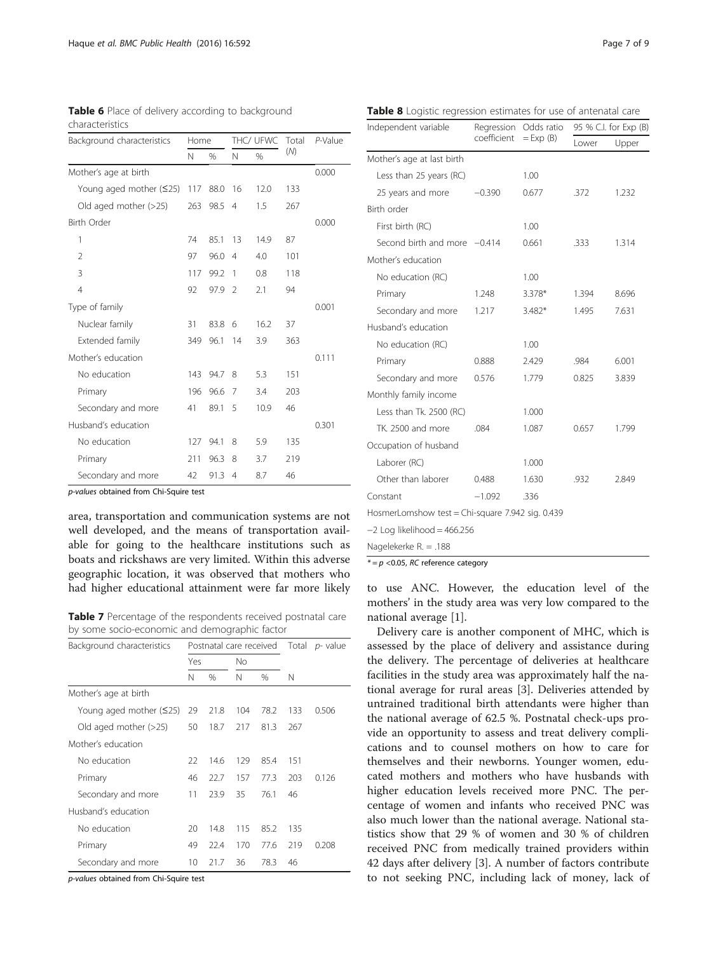<span id="page-6-0"></span>Table 6 Place of delivery according to background characteristics

| Background characteristics | Home |      | THC/ UFWC      |      | Total | $P-Value$ |  |
|----------------------------|------|------|----------------|------|-------|-----------|--|
|                            | N    | %    | N              | %    | (N)   |           |  |
| Mother's age at birth      |      |      |                |      |       | 0.000     |  |
| Young aged mother (≤25)    | 117  | 88.0 | 16             | 12.0 | 133   |           |  |
| Old aged mother (>25)      | 263  | 98.5 | $\overline{4}$ | 1.5  | 267   |           |  |
| <b>Birth Order</b>         |      |      |                |      |       | 0.000     |  |
| 1                          | 74   | 85.1 | 13             | 14.9 | 87    |           |  |
| 2                          | 97   | 96.0 | 4              | 4.0  | 101   |           |  |
| 3                          | 117  | 99.2 | 1              | 0.8  | 118   |           |  |
| $\overline{4}$             | 92   | 97.9 | $\mathcal{P}$  | 2.1  | 94    |           |  |
| Type of family             |      |      |                |      |       | 0.001     |  |
| Nuclear family             | 31   | 83.8 | 6              | 16.2 | 37    |           |  |
| Extended family            | 349  | 96.1 | 14             | 3.9  | 363   |           |  |
| Mother's education         |      |      |                |      |       | 0.111     |  |
| No education               | 143  | 94.7 | 8              | 5.3  | 151   |           |  |
| Primary                    | 196  | 96.6 | 7              | 3.4  | 203   |           |  |
| Secondary and more         | 41   | 89.1 | 5              | 10.9 | 46    |           |  |
| Husband's education        |      |      |                |      |       | 0.301     |  |
| No education               | 127  | 94.1 | 8              | 5.9  | 135   |           |  |
| Primary                    | 211  | 96.3 | 8              | 3.7  | 219   |           |  |
| Secondary and more         | 42   | 91.3 | $\overline{4}$ | 8.7  | 46    |           |  |

p-values obtained from Chi-Squire test

area, transportation and communication systems are not well developed, and the means of transportation available for going to the healthcare institutions such as boats and rickshaws are very limited. Within this adverse geographic location, it was observed that mothers who had higher educational attainment were far more likely to use ANC. However, the education level of the

Table 7 Percentage of the respondents received postnatal care by some socio-economic and demographic factor

| Background characteristics |     | Postnatal care received |     |      |     | Total<br>$p$ - value |
|----------------------------|-----|-------------------------|-----|------|-----|----------------------|
|                            | Yes |                         | Nο  |      |     |                      |
|                            | Ν   | %                       | N   | %    | N   |                      |
| Mother's age at birth      |     |                         |     |      |     |                      |
| Young aged mother $(525)$  | 29  | 21.8                    | 104 | 78.2 | 133 | 0.506                |
| Old aged mother (>25)      | 50  | 18.7                    | 217 | 81.3 | 267 |                      |
| Mother's education         |     |                         |     |      |     |                      |
| No education               | 22  | 14.6                    | 129 | 85.4 | 151 |                      |
| Primary                    | 46  | 22.7                    | 157 | 77.3 | 203 | 0.126                |
| Secondary and more         | 11  | 23.9                    | 35  | 761  | 46  |                      |
| Husband's education        |     |                         |     |      |     |                      |
| No education               | 20  | 14.8                    | 115 | 85.2 | 135 |                      |
| Primary                    | 49  | 22.4                    | 170 | 77.6 | 219 | 0.208                |
| Secondary and more         | 10  | 21.7                    | 36  | 78.3 | 46  |                      |

p-values obtained from Chi-Squire test

Table 8 Logistic regression estimates for use of antenatal care

| Independent variable                             | Regression                   | Odds ratio | 95 % C.I. for Exp (B) |       |  |
|--------------------------------------------------|------------------------------|------------|-----------------------|-------|--|
|                                                  | coefficient<br>$=$ Exp $(B)$ |            | Lower                 | Upper |  |
| Mother's age at last birth                       |                              |            |                       |       |  |
| Less than 25 years (RC)                          |                              | 1.00       |                       |       |  |
| 25 years and more                                | $-0.390$                     | 0.677      | .372                  | 1.232 |  |
| Birth order                                      |                              |            |                       |       |  |
| First birth (RC)                                 |                              | 1.00       |                       |       |  |
| Second birth and more $-0.414$                   |                              | 0.661      | .333                  | 1.314 |  |
| Mother's education                               |                              |            |                       |       |  |
| No education (RC)                                |                              | 1.00       |                       |       |  |
| Primary                                          | 1.248                        | 3.378*     | 1.394                 | 8.696 |  |
| Secondary and more                               | 1.217                        | $3.482*$   | 1.495                 | 7.631 |  |
| Husband's education                              |                              |            |                       |       |  |
| No education (RC)                                |                              | 1.00       |                       |       |  |
| Primary                                          | 0.888                        | 2.429      | .984                  | 6.001 |  |
| Secondary and more                               | 0.576                        | 1.779      | 0.825                 | 3.839 |  |
| Monthly family income                            |                              |            |                       |       |  |
| Less than Tk. 2500 (RC)                          |                              | 1.000      |                       |       |  |
| TK, 2500 and more                                | .084                         | 1.087      | 0.657                 | 1.799 |  |
| Occupation of husband                            |                              |            |                       |       |  |
| Laborer (RC)                                     |                              | 1.000      |                       |       |  |
| Other than laborer                               | 0.488                        | 1.630      | .932                  | 2.849 |  |
| Constant                                         | $-1.092$                     | .336       |                       |       |  |
| HosmerLomshow test = Chi-square 7.942 sig. 0.439 |                              |            |                       |       |  |
| $-2$ Log likelihood = 466.256                    |                              |            |                       |       |  |
| Nagelekerke $R = 0.188$                          |                              |            |                       |       |  |

 $* = p$  <0.05, RC reference category

mothers' in the study area was very low compared to the national average [\[1](#page-8-0)].

Delivery care is another component of MHC, which is assessed by the place of delivery and assistance during the delivery. The percentage of deliveries at healthcare facilities in the study area was approximately half the national average for rural areas [\[3](#page-8-0)]. Deliveries attended by untrained traditional birth attendants were higher than the national average of 62.5 %. Postnatal check-ups provide an opportunity to assess and treat delivery complications and to counsel mothers on how to care for themselves and their newborns. Younger women, educated mothers and mothers who have husbands with higher education levels received more PNC. The percentage of women and infants who received PNC was also much lower than the national average. National statistics show that 29 % of women and 30 % of children received PNC from medically trained providers within 42 days after delivery [\[3](#page-8-0)]. A number of factors contribute to not seeking PNC, including lack of money, lack of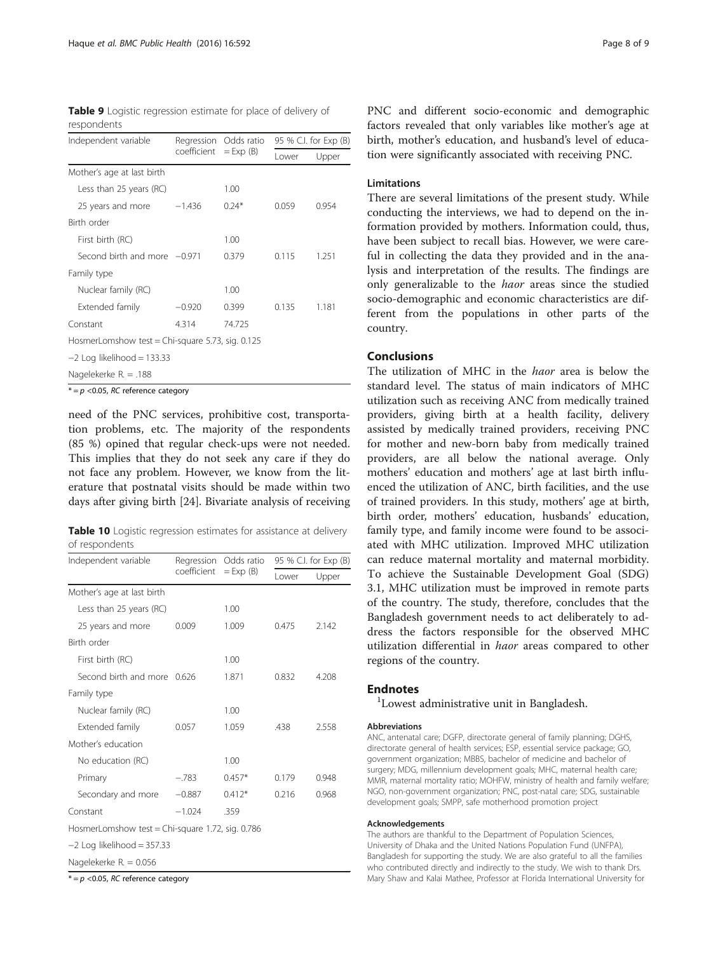<span id="page-7-0"></span>Table 9 Logistic regression estimate for place of delivery of respondents

| Independent variable                             |                              | Regression Odds ratio | 95 % C.I. for Exp (B) |       |  |  |
|--------------------------------------------------|------------------------------|-----------------------|-----------------------|-------|--|--|
|                                                  | coefficient<br>$=$ Exp $(B)$ |                       | Lower                 | Upper |  |  |
| Mother's age at last birth                       |                              |                       |                       |       |  |  |
| Less than 25 years (RC)                          |                              | 1.00                  |                       |       |  |  |
| 25 years and more                                | -1.436                       | $0.24*$               | 0.059                 | 0.954 |  |  |
| Birth order                                      |                              |                       |                       |       |  |  |
| First birth (RC)                                 |                              | 1.00                  |                       |       |  |  |
| Second birth and more $-0.971$                   |                              | 0.379                 | 0.115                 | 1.251 |  |  |
| Family type                                      |                              |                       |                       |       |  |  |
| Nuclear family (RC)                              |                              | 1.00                  |                       |       |  |  |
| Extended family                                  | $-0.920$                     | 0.399                 | 0.135                 | 1.181 |  |  |
| Constant                                         | 4.314                        | 74.725                |                       |       |  |  |
| HosmerLomshow test = Chi-square 5.73, sig. 0.125 |                              |                       |                       |       |  |  |
| $-2$ Log likelihood = 133.33                     |                              |                       |                       |       |  |  |
| Nagelekerke $R = 0.188$                          |                              |                       |                       |       |  |  |
| $\mathbf{v}$ and $\mathbf{v}$                    |                              |                       |                       |       |  |  |

 $* = p$  <0.05, RC reference category

need of the PNC services, prohibitive cost, transportation problems, etc. The majority of the respondents (85 %) opined that regular check-ups were not needed. This implies that they do not seek any care if they do not face any problem. However, we know from the literature that postnatal visits should be made within two days after giving birth [\[24](#page-8-0)]. Bivariate analysis of receiving

Table 10 Logistic regression estimates for assistance at delivery of respondents

| Independent variable                             | Regression<br>coefficient | Odds ratio<br>$=$ Exp $(B)$ | 95 % C.I. for Exp (B) |       |
|--------------------------------------------------|---------------------------|-----------------------------|-----------------------|-------|
|                                                  |                           |                             | I ower                | Upper |
| Mother's age at last birth                       |                           |                             |                       |       |
| Less than 25 years (RC)                          |                           | 1.00                        |                       |       |
| 25 years and more                                | 0.009                     | 1.009                       | 0.475                 | 2.142 |
| Birth order                                      |                           |                             |                       |       |
| First birth (RC)                                 |                           | 1.00                        |                       |       |
| Second birth and more 0.626                      |                           | 1.871                       | 0.832                 | 4.208 |
| Family type                                      |                           |                             |                       |       |
| Nuclear family (RC)                              |                           | 1.00                        |                       |       |
| Extended family                                  | 0.057                     | 1.059                       | .438                  | 2.558 |
| Mother's education                               |                           |                             |                       |       |
| No education (RC)                                |                           | 1.00                        |                       |       |
| Primary                                          | $-.783$                   | $0.457*$                    | 0.179                 | 0.948 |
| Secondary and more                               | $-0.887$                  | $0.412*$                    | 0.216                 | 0.968 |
| Constant                                         | $-1.024$                  | .359                        |                       |       |
| HosmerLomshow test = Chi-square 1.72, sig. 0.786 |                           |                             |                       |       |
| $-2$ Log likelihood = 357.33                     |                           |                             |                       |       |
| Nagelekerke $R = 0.056$                          |                           |                             |                       |       |

 $* = p$  <0.05, RC reference category

PNC and different socio-economic and demographic factors revealed that only variables like mother's age at birth, mother's education, and husband's level of education were significantly associated with receiving PNC.

#### **Limitations**

There are several limitations of the present study. While conducting the interviews, we had to depend on the information provided by mothers. Information could, thus, have been subject to recall bias. However, we were careful in collecting the data they provided and in the analysis and interpretation of the results. The findings are only generalizable to the haor areas since the studied socio-demographic and economic characteristics are different from the populations in other parts of the country.

## Conclusions

The utilization of MHC in the haor area is below the standard level. The status of main indicators of MHC utilization such as receiving ANC from medically trained providers, giving birth at a health facility, delivery assisted by medically trained providers, receiving PNC for mother and new-born baby from medically trained providers, are all below the national average. Only mothers' education and mothers' age at last birth influenced the utilization of ANC, birth facilities, and the use of trained providers. In this study, mothers' age at birth, birth order, mothers' education, husbands' education, family type, and family income were found to be associated with MHC utilization. Improved MHC utilization can reduce maternal mortality and maternal morbidity. To achieve the Sustainable Development Goal (SDG) 3.1, MHC utilization must be improved in remote parts of the country. The study, therefore, concludes that the Bangladesh government needs to act deliberately to address the factors responsible for the observed MHC utilization differential in haor areas compared to other regions of the country.

## **Endnotes**

<sup>1</sup>Lowest administrative unit in Bangladesh.

#### Abbreviations

ANC, antenatal care; DGFP, directorate general of family planning; DGHS, directorate general of health services; ESP, essential service package; GO, government organization; MBBS, bachelor of medicine and bachelor of surgery; MDG, millennium development goals; MHC, maternal health care; MMR, maternal mortality ratio; MOHFW, ministry of health and family welfare; NGO, non-government organization; PNC, post-natal care; SDG, sustainable development goals; SMPP, safe motherhood promotion project

#### Acknowledgements

The authors are thankful to the Department of Population Sciences, University of Dhaka and the United Nations Population Fund (UNFPA), Bangladesh for supporting the study. We are also grateful to all the families who contributed directly and indirectly to the study. We wish to thank Drs. Mary Shaw and Kalai Mathee, Professor at Florida International University for